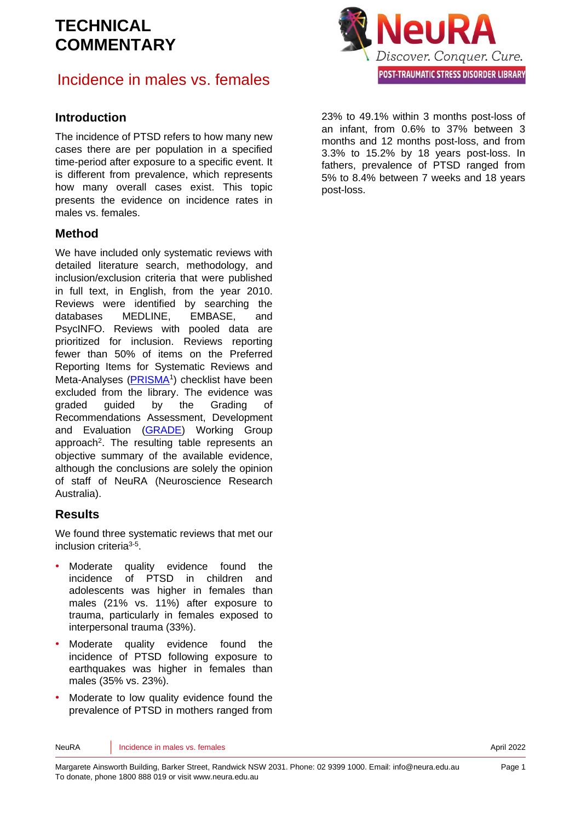## Incidence in males vs. females

#### **Introduction**

The incidence of PTSD refers to how many new cases there are per population in a specified time-period after exposure to a specific event. It is different from prevalence, which represents how many overall cases exist. This topic presents the evidence on incidence rates in males vs. females.

#### **Method**

We have included only systematic reviews with detailed literature search, methodology, and inclusion/exclusion criteria that were published in full text, in English, from the year 2010. Reviews were identified by searching the databases MEDLINE, EMBASE, and PsycINFO. Reviews with pooled data are prioritized for inclusion. Reviews reporting fewer than 50% of items on the Preferred Reporting Items for Systematic Reviews and Meta-Analyses [\(PRISMA](http://www.prisma-statement.org/)<sup>[1](#page-6-0)</sup>) checklist have been excluded from the library. The evidence was graded guided by the Grading of Recommendations Assessment, Development and Evaluation [\(GRADE\)](http://www.gradeworkinggroup.org/) Working Group approach<sup>2</sup>[.](#page-6-1) The resulting table represents an objective summary of the available evidence, although the conclusions are solely the opinion of staff of NeuRA (Neuroscience Research Australia).

#### **Results**

We found three systematic reviews that met our inclusion criteria<sup>[3-5](#page-6-2)</sup>.

- Moderate quality evidence found the incidence of PTSD in children and adolescents was higher in females than males (21% vs. 11%) after exposure to trauma, particularly in females exposed to interpersonal trauma (33%).
- Moderate quality evidence found the incidence of PTSD following exposure to earthquakes was higher in females than males (35% vs. 23%).
- Moderate to low quality evidence found the prevalence of PTSD in mothers ranged from



23% to 49.1% within 3 months post-loss of an infant, from 0.6% to 37% between 3 months and 12 months post-loss, and from 3.3% to 15.2% by 18 years post-loss. In fathers, prevalence of PTSD ranged from 5% to 8.4% between 7 weeks and 18 years post-loss.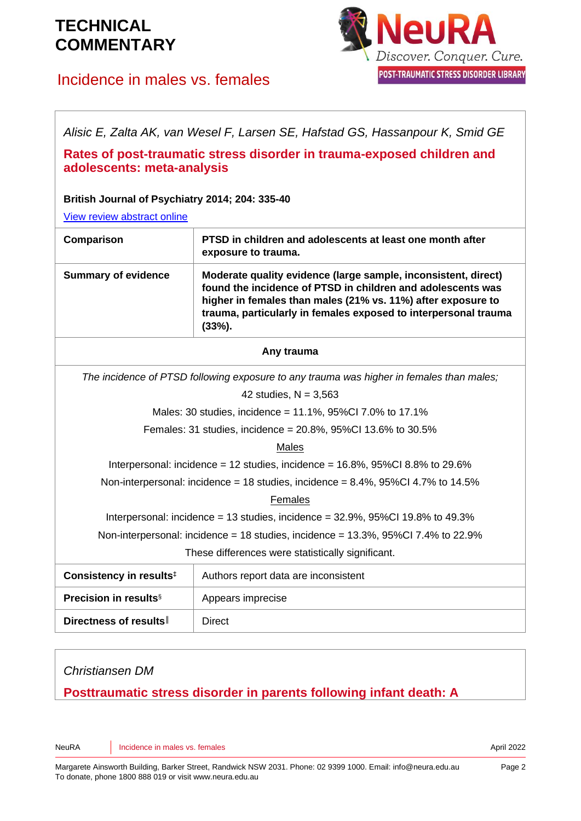## Incidence in males vs. females



*Alisic E, Zalta AK, van Wesel F, Larsen SE, Hafstad GS, Hassanpour K, Smid GE*

#### **Rates of post-traumatic stress disorder in trauma-exposed children and adolescents: meta-analysis**

**British Journal of Psychiatry 2014; 204: 335-40**

[View review abstract online](https://pubmed.ncbi.nlm.nih.gov/24785767/)

| <b>Comparison</b>          | PTSD in children and adolescents at least one month after                                                                                                                                                                                                                     |
|----------------------------|-------------------------------------------------------------------------------------------------------------------------------------------------------------------------------------------------------------------------------------------------------------------------------|
|                            | exposure to trauma.                                                                                                                                                                                                                                                           |
| <b>Summary of evidence</b> | Moderate quality evidence (large sample, inconsistent, direct)<br>found the incidence of PTSD in children and adolescents was<br>higher in females than males (21% vs. 11%) after exposure to<br>trauma, particularly in females exposed to interpersonal trauma<br>$(33%)$ . |

#### **Any trauma**

*The incidence of PTSD following exposure to any trauma was higher in females than males;*

42 studies,  $N = 3,563$ 

Males: 30 studies, incidence = 11.1%, 95%CI 7.0% to 17.1%

Females: 31 studies, incidence = 20.8%, 95%CI 13.6% to 30.5%

#### Males

Interpersonal: incidence = 12 studies, incidence = 16.8%, 95%CI 8.8% to 29.6%

Non-interpersonal: incidence = 18 studies, incidence =  $8.4\%$ , 95%CI 4.7% to 14.5%

#### Females

Interpersonal: incidence = 13 studies, incidence =  $32.9\%$ ,  $95\%$ CI 19.8% to 49.3%

Non-interpersonal: incidence = 18 studies, incidence =  $13.3\%$ ,  $95\%$ Cl 7.4% to 22.9%

These differences were statistically significant.

| Consistency in results <sup>‡</sup>      | Authors report data are inconsistent |
|------------------------------------------|--------------------------------------|
| <b>Precision in results</b> <sup>§</sup> | Appears imprecise                    |
| Directness of results                    | Direct                               |

#### *Christiansen DM*

### **Posttraumatic stress disorder in parents following infant death: A**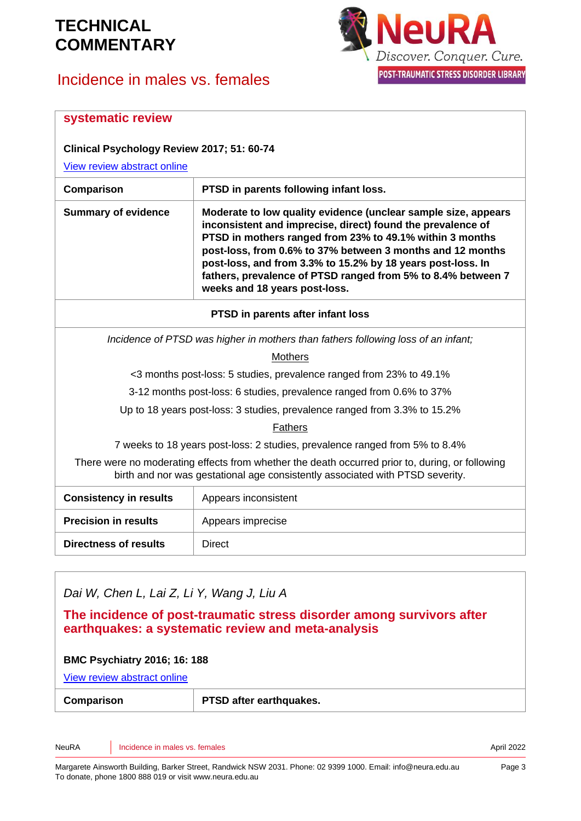# Incidence in males vs. females



| systematic review                                                                                                                                                                |                                                                                                                                                                                                                                                                                                                                                                                                                         |  |
|----------------------------------------------------------------------------------------------------------------------------------------------------------------------------------|-------------------------------------------------------------------------------------------------------------------------------------------------------------------------------------------------------------------------------------------------------------------------------------------------------------------------------------------------------------------------------------------------------------------------|--|
| Clinical Psychology Review 2017; 51: 60-74                                                                                                                                       |                                                                                                                                                                                                                                                                                                                                                                                                                         |  |
| View review abstract online                                                                                                                                                      |                                                                                                                                                                                                                                                                                                                                                                                                                         |  |
| Comparison                                                                                                                                                                       | PTSD in parents following infant loss.                                                                                                                                                                                                                                                                                                                                                                                  |  |
| <b>Summary of evidence</b>                                                                                                                                                       | Moderate to low quality evidence (unclear sample size, appears<br>inconsistent and imprecise, direct) found the prevalence of<br>PTSD in mothers ranged from 23% to 49.1% within 3 months<br>post-loss, from 0.6% to 37% between 3 months and 12 months<br>post-loss, and from 3.3% to 15.2% by 18 years post-loss. In<br>fathers, prevalence of PTSD ranged from 5% to 8.4% between 7<br>weeks and 18 years post-loss. |  |
| PTSD in parents after infant loss                                                                                                                                                |                                                                                                                                                                                                                                                                                                                                                                                                                         |  |
| Incidence of PTSD was higher in mothers than fathers following loss of an infant;                                                                                                |                                                                                                                                                                                                                                                                                                                                                                                                                         |  |
| Mothers                                                                                                                                                                          |                                                                                                                                                                                                                                                                                                                                                                                                                         |  |
| <3 months post-loss: 5 studies, prevalence ranged from 23% to 49.1%                                                                                                              |                                                                                                                                                                                                                                                                                                                                                                                                                         |  |
| 3-12 months post-loss: 6 studies, prevalence ranged from 0.6% to 37%                                                                                                             |                                                                                                                                                                                                                                                                                                                                                                                                                         |  |
| Up to 18 years post-loss: 3 studies, prevalence ranged from 3.3% to 15.2%                                                                                                        |                                                                                                                                                                                                                                                                                                                                                                                                                         |  |
| Fathers                                                                                                                                                                          |                                                                                                                                                                                                                                                                                                                                                                                                                         |  |
| 7 weeks to 18 years post-loss: 2 studies, prevalence ranged from 5% to 8.4%                                                                                                      |                                                                                                                                                                                                                                                                                                                                                                                                                         |  |
| There were no moderating effects from whether the death occurred prior to, during, or following<br>birth and nor was gestational age consistently associated with PTSD severity. |                                                                                                                                                                                                                                                                                                                                                                                                                         |  |
| <b>Consistency in results</b>                                                                                                                                                    | Appears inconsistent                                                                                                                                                                                                                                                                                                                                                                                                    |  |
| <b>Precision in results</b>                                                                                                                                                      | Appears imprecise                                                                                                                                                                                                                                                                                                                                                                                                       |  |
| <b>Directness of results</b>                                                                                                                                                     | <b>Direct</b>                                                                                                                                                                                                                                                                                                                                                                                                           |  |
|                                                                                                                                                                                  |                                                                                                                                                                                                                                                                                                                                                                                                                         |  |

### *Dai W, Chen L, Lai Z, Li Y, Wang J, Liu A*

#### **The incidence of post-traumatic stress disorder among survivors after earthquakes: a systematic review and meta-analysis**

#### **BMC Psychiatry 2016; 16: 188**

[View review abstract online](https://www.ncbi.nlm.nih.gov/pmc/articles/PMC4895994/)

| Comparison | PTSD after earthquakes. |
|------------|-------------------------|
|            |                         |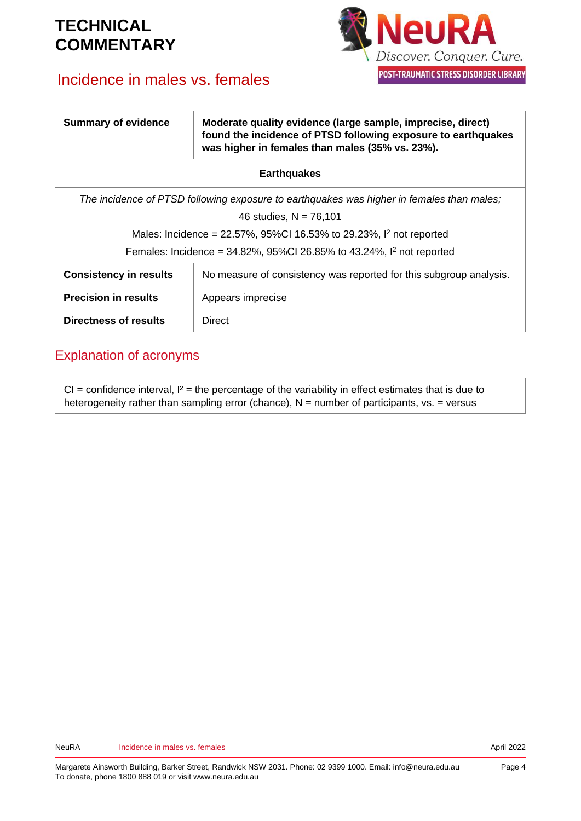# Incidence in males vs. females



| <b>Summary of evidence</b>                                                                | Moderate quality evidence (large sample, imprecise, direct)<br>found the incidence of PTSD following exposure to earthquakes<br>was higher in females than males (35% vs. 23%). |  |
|-------------------------------------------------------------------------------------------|---------------------------------------------------------------------------------------------------------------------------------------------------------------------------------|--|
| <b>Earthquakes</b>                                                                        |                                                                                                                                                                                 |  |
| The incidence of PTSD following exposure to earthquakes was higher in females than males; |                                                                                                                                                                                 |  |
| 46 studies, $N = 76,101$                                                                  |                                                                                                                                                                                 |  |
| Males: Incidence = 22.57%, 95%CI 16.53% to 29.23%, I <sup>2</sup> not reported            |                                                                                                                                                                                 |  |
| Females: Incidence = $34.82\%$ , $95\%$ CI 26.85% to 43.24%, $1^2$ not reported           |                                                                                                                                                                                 |  |
| <b>Consistency in results</b>                                                             | No measure of consistency was reported for this subgroup analysis.                                                                                                              |  |
| <b>Precision in results</b>                                                               | Appears imprecise                                                                                                                                                               |  |
| Directness of results                                                                     | Direct                                                                                                                                                                          |  |

### Explanation of acronyms

 $CI =$  confidence interval,  $I^2 =$  the percentage of the variability in effect estimates that is due to heterogeneity rather than sampling error (chance),  $N =$  number of participants,  $vs. =$  versus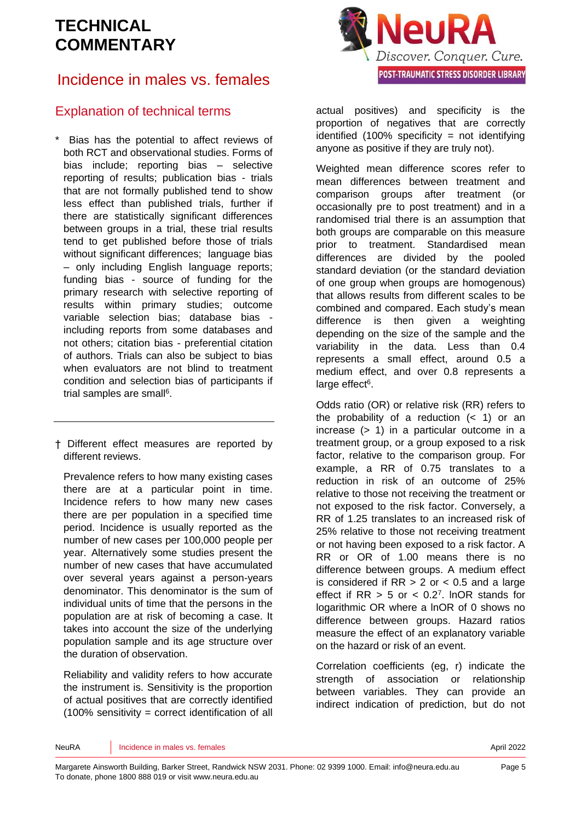# Incidence in males vs. females

### Explanation of technical terms

Bias has the potential to affect reviews of both RCT and observational studies. Forms of bias include; reporting bias – selective reporting of results; publication bias - trials that are not formally published tend to show less effect than published trials, further if there are statistically significant differences between groups in a trial, these trial results tend to get published before those of trials without significant differences: language bias – only including English language reports; funding bias - source of funding for the primary research with selective reporting of results within primary studies; outcome variable selection bias; database bias including reports from some databases and not others; citation bias - preferential citation of authors. Trials can also be subject to bias when evaluators are not blind to treatment condition and selection bias of participants if trial samples are sma[ll](#page-6-3)<sup>6</sup>.

† Different effect measures are reported by different reviews.

Prevalence refers to how many existing cases there are at a particular point in time. Incidence refers to how many new cases there are per population in a specified time period. Incidence is usually reported as the number of new cases per 100,000 people per year. Alternatively some studies present the number of new cases that have accumulated over several years against a person-years denominator. This denominator is the sum of individual units of time that the persons in the population are at risk of becoming a case. It takes into account the size of the underlying population sample and its age structure over the duration of observation.

Reliability and validity refers to how accurate the instrument is. Sensitivity is the proportion of actual positives that are correctly identified (100% sensitivity = correct identification of all



actual positives) and specificity is the proportion of negatives that are correctly identified  $(100\%$  specificity = not identifying anyone as positive if they are truly not).

Weighted mean difference scores refer to mean differences between treatment and comparison groups after treatment (or occasionally pre to post treatment) and in a randomised trial there is an assumption that both groups are comparable on this measure prior to treatment. Standardised mean differences are divided by the pooled standard deviation (or the standard deviation of one group when groups are homogenous) that allows results from different scales to be combined and compared. Each study's mean difference is then given a weighting depending on the size of the sample and the variability in the data. Less than 0.4 represents a small effect, around 0.5 a medium effect, and over 0.8 represents a large effect<sup>[6](#page-6-3)</sup>.

Odds ratio (OR) or relative risk (RR) refers to the probability of a reduction  $($  1) or an increase (> 1) in a particular outcome in a treatment group, or a group exposed to a risk factor, relative to the comparison group. For example, a RR of 0.75 translates to a reduction in risk of an outcome of 25% relative to those not receiving the treatment or not exposed to the risk factor. Conversely, a RR of 1.25 translates to an increased risk of 25% relative to those not receiving treatment or not having been exposed to a risk factor. A RR or OR of 1.00 means there is no difference between groups. A medium effect is considered if  $RR > 2$  or  $< 0.5$  and a large effect if  $RR > 5$  or  $< 0.2<sup>7</sup>$  $< 0.2<sup>7</sup>$  $< 0.2<sup>7</sup>$ . InOR stands for logarithmic OR where a lnOR of 0 shows no difference between groups. Hazard ratios measure the effect of an explanatory variable on the hazard or risk of an event.

Correlation coefficients (eg, r) indicate the strength of association or relationship between variables. They can provide an indirect indication of prediction, but do not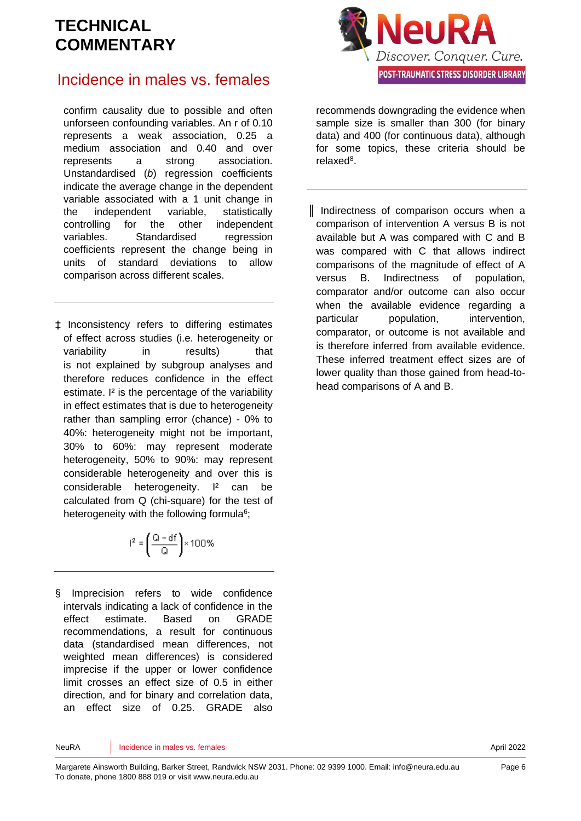# **JeuRA** Discover. Conquer. Cure. POST-TRAUMATIC STRESS DISORDER LIBRARY

### Incidence in males vs. females

confirm causality due to possible and often unforseen confounding variables. An r of 0.10 represents a weak association, 0.25 a medium association and 0.40 and over represents a strong association. Unstandardised (*b*) regression coefficients indicate the average change in the dependent variable associated with a 1 unit change in the independent variable, statistically controlling for the other independent variables. Standardised regression coefficients represent the change being in units of standard deviations to allow comparison across different scales.

‡ Inconsistency refers to differing estimates of effect across studies (i.e. heterogeneity or variability in results) that is not explained by subgroup analyses and therefore reduces confidence in the effect estimate. I² is the percentage of the variability in effect estimates that is due to heterogeneity rather than sampling error (chance) - 0% to 40%: heterogeneity might not be important, 30% to 60%: may represent moderate heterogeneity, 50% to 90%: may represent considerable heterogeneity and over this is considerable heterogeneity. I² can be calculated from Q (chi-square) for the test of heterogeneity with the following formul[a](#page-6-3)<sup>6</sup>;

$$
r^2 = \left(\frac{Q - df}{Q}\right) \times 100\%
$$

§ Imprecision refers to wide confidence intervals indicating a lack of confidence in the effect estimate. Based on GRADE recommendations, a result for continuous data (standardised mean differences, not weighted mean differences) is considered imprecise if the upper or lower confidence limit crosses an effect size of 0.5 in either direction, and for binary and correlation data, an effect size of 0.25. GRADE also

recommends downgrading the evidence when sample size is smaller than 300 (for binary data) and 400 (for continuous data), although for some topics, these criteria should be relaxe[d](#page-6-5)<sup>8</sup>.

║ Indirectness of comparison occurs when a comparison of intervention A versus B is not available but A was compared with C and B was compared with C that allows indirect comparisons of the magnitude of effect of A versus B. Indirectness of population, comparator and/or outcome can also occur when the available evidence regarding a particular population, intervention, comparator, or outcome is not available and is therefore inferred from available evidence. These inferred treatment effect sizes are of lower quality than those gained from head-tohead comparisons of A and B.